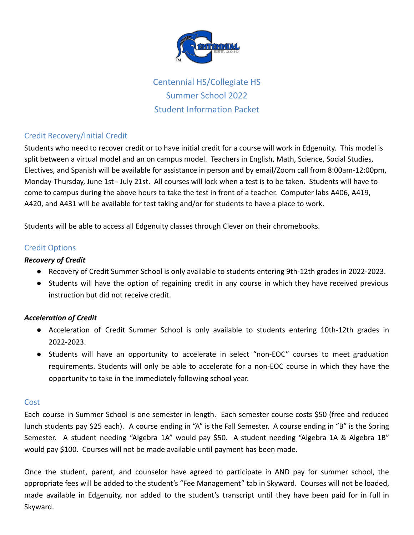

Centennial HS/Collegiate HS Summer School 2022 Student Information Packet

# Credit Recovery/Initial Credit

Students who need to recover credit or to have initial credit for a course will work in Edgenuity. This model is split between a virtual model and an on campus model. Teachers in English, Math, Science, Social Studies, Electives, and Spanish will be available for assistance in person and by email/Zoom call from 8:00am-12:00pm, Monday-Thursday, June 1st - July 21st. All courses will lock when a test is to be taken. Students will have to come to campus during the above hours to take the test in front of a teacher. Computer labs A406, A419, A420, and A431 will be available for test taking and/or for students to have a place to work.

Students will be able to access all Edgenuity classes through Clever on their chromebooks.

# Credit Options

## *Recovery of Credit*

- Recovery of Credit Summer School is only available to students entering 9th-12th grades in 2022-2023.
- Students will have the option of regaining credit in any course in which they have received previous instruction but did not receive credit.

# *Acceleration of Credit*

- Acceleration of Credit Summer School is only available to students entering 10th-12th grades in 2022-2023.
- Students will have an opportunity to accelerate in select "non-EOC" courses to meet graduation requirements. Students will only be able to accelerate for a non-EOC course in which they have the opportunity to take in the immediately following school year.

#### **Cost**

Each course in Summer School is one semester in length. Each semester course costs \$50 (free and reduced lunch students pay \$25 each). A course ending in "A" is the Fall Semester. A course ending in "B" is the Spring Semester. A student needing "Algebra 1A" would pay \$50. A student needing "Algebra 1A & Algebra 1B" would pay \$100. Courses will not be made available until payment has been made.

Once the student, parent, and counselor have agreed to participate in AND pay for summer school, the appropriate fees will be added to the student's "Fee Management" tab in Skyward. Courses will not be loaded, made available in Edgenuity, nor added to the student's transcript until they have been paid for in full in Skyward.